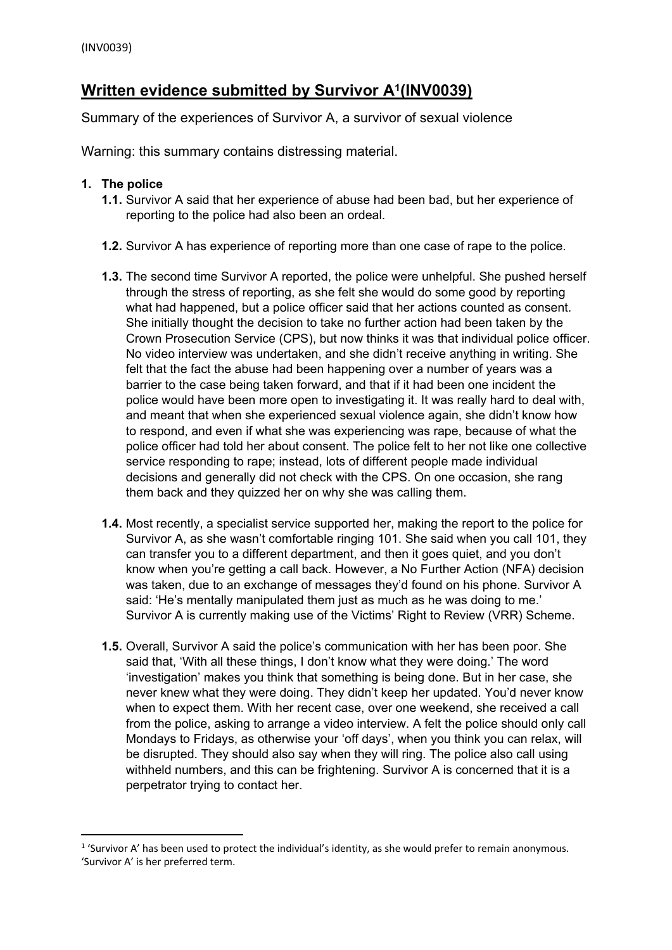# **Written evidence submitted by Survivor A<sup>1</sup> (INV0039)**

Summary of the experiences of Survivor A, a survivor of sexual violence

Warning: this summary contains distressing material.

### **1. The police**

- **1.1.** Survivor A said that her experience of abuse had been bad, but her experience of reporting to the police had also been an ordeal.
- **1.2.** Survivor A has experience of reporting more than one case of rape to the police.
- **1.3.** The second time Survivor A reported, the police were unhelpful. She pushed herself through the stress of reporting, as she felt she would do some good by reporting what had happened, but a police officer said that her actions counted as consent. She initially thought the decision to take no further action had been taken by the Crown Prosecution Service (CPS), but now thinks it was that individual police officer. No video interview was undertaken, and she didn't receive anything in writing. She felt that the fact the abuse had been happening over a number of years was a barrier to the case being taken forward, and that if it had been one incident the police would have been more open to investigating it. It was really hard to deal with, and meant that when she experienced sexual violence again, she didn't know how to respond, and even if what she was experiencing was rape, because of what the police officer had told her about consent. The police felt to her not like one collective service responding to rape; instead, lots of different people made individual decisions and generally did not check with the CPS. On one occasion, she rang them back and they quizzed her on why she was calling them.
- **1.4.** Most recently, a specialist service supported her, making the report to the police for Survivor A, as she wasn't comfortable ringing 101. She said when you call 101, they can transfer you to a different department, and then it goes quiet, and you don't know when you're getting a call back. However, a No Further Action (NFA) decision was taken, due to an exchange of messages they'd found on his phone. Survivor A said: 'He's mentally manipulated them just as much as he was doing to me.' Survivor A is currently making use of the Victims' Right to Review (VRR) Scheme.
- **1.5.** Overall, Survivor A said the police's communication with her has been poor. She said that, 'With all these things, I don't know what they were doing.' The word 'investigation' makes you think that something is being done. But in her case, she never knew what they were doing. They didn't keep her updated. You'd never know when to expect them. With her recent case, over one weekend, she received a call from the police, asking to arrange a video interview. A felt the police should only call Mondays to Fridays, as otherwise your 'off days', when you think you can relax, will be disrupted. They should also say when they will ring. The police also call using withheld numbers, and this can be frightening. Survivor A is concerned that it is a perpetrator trying to contact her.

<sup>&</sup>lt;sup>1</sup> 'Survivor A' has been used to protect the individual's identity, as she would prefer to remain anonymous. 'Survivor A' is her preferred term.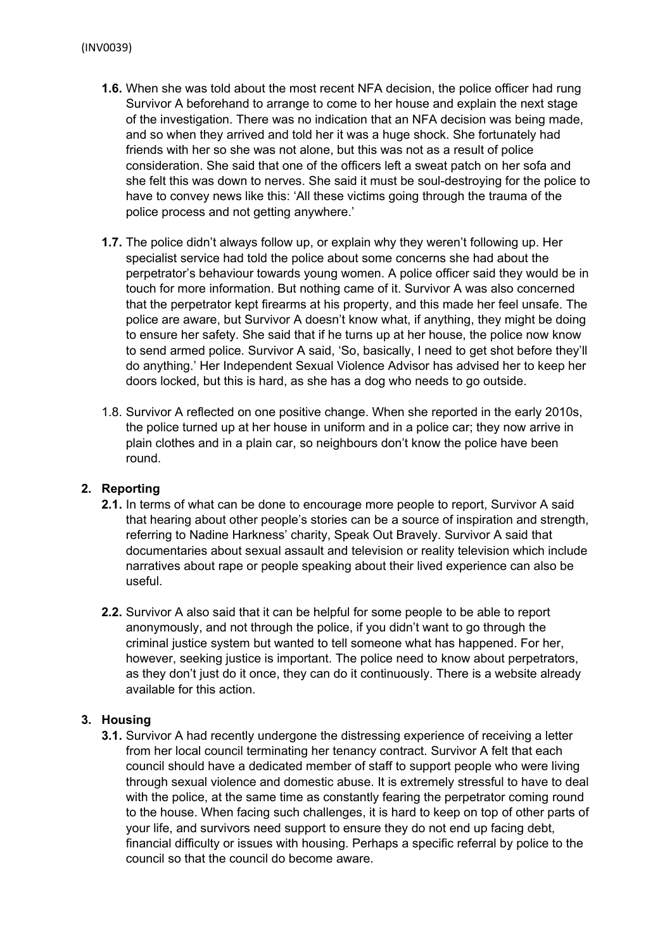- **1.6.** When she was told about the most recent NFA decision, the police officer had rung Survivor A beforehand to arrange to come to her house and explain the next stage of the investigation. There was no indication that an NFA decision was being made, and so when they arrived and told her it was a huge shock. She fortunately had friends with her so she was not alone, but this was not as a result of police consideration. She said that one of the officers left a sweat patch on her sofa and she felt this was down to nerves. She said it must be soul-destroying for the police to have to convey news like this: 'All these victims going through the trauma of the police process and not getting anywhere.'
- **1.7.** The police didn't always follow up, or explain why they weren't following up. Her specialist service had told the police about some concerns she had about the perpetrator's behaviour towards young women. A police officer said they would be in touch for more information. But nothing came of it. Survivor A was also concerned that the perpetrator kept firearms at his property, and this made her feel unsafe. The police are aware, but Survivor A doesn't know what, if anything, they might be doing to ensure her safety. She said that if he turns up at her house, the police now know to send armed police. Survivor A said, 'So, basically, I need to get shot before they'll do anything.' Her Independent Sexual Violence Advisor has advised her to keep her doors locked, but this is hard, as she has a dog who needs to go outside.
- 1.8. Survivor A reflected on one positive change. When she reported in the early 2010s, the police turned up at her house in uniform and in a police car; they now arrive in plain clothes and in a plain car, so neighbours don't know the police have been round.

# **2. Reporting**

- **2.1.** In terms of what can be done to encourage more people to report, Survivor A said that hearing about other people's stories can be a source of inspiration and strength, referring to Nadine Harkness' charity, Speak Out Bravely. Survivor A said that documentaries about sexual assault and television or reality television which include narratives about rape or people speaking about their lived experience can also be useful.
- **2.2.** Survivor A also said that it can be helpful for some people to be able to report anonymously, and not through the police, if you didn't want to go through the criminal justice system but wanted to tell someone what has happened. For her, however, seeking justice is important. The police need to know about perpetrators, as they don't just do it once, they can do it continuously. There is a website already available for this action.

# **3. Housing**

**3.1.** Survivor A had recently undergone the distressing experience of receiving a letter from her local council terminating her tenancy contract. Survivor A felt that each council should have a dedicated member of staff to support people who were living through sexual violence and domestic abuse. It is extremely stressful to have to deal with the police, at the same time as constantly fearing the perpetrator coming round to the house. When facing such challenges, it is hard to keep on top of other parts of your life, and survivors need support to ensure they do not end up facing debt, financial difficulty or issues with housing. Perhaps a specific referral by police to the council so that the council do become aware.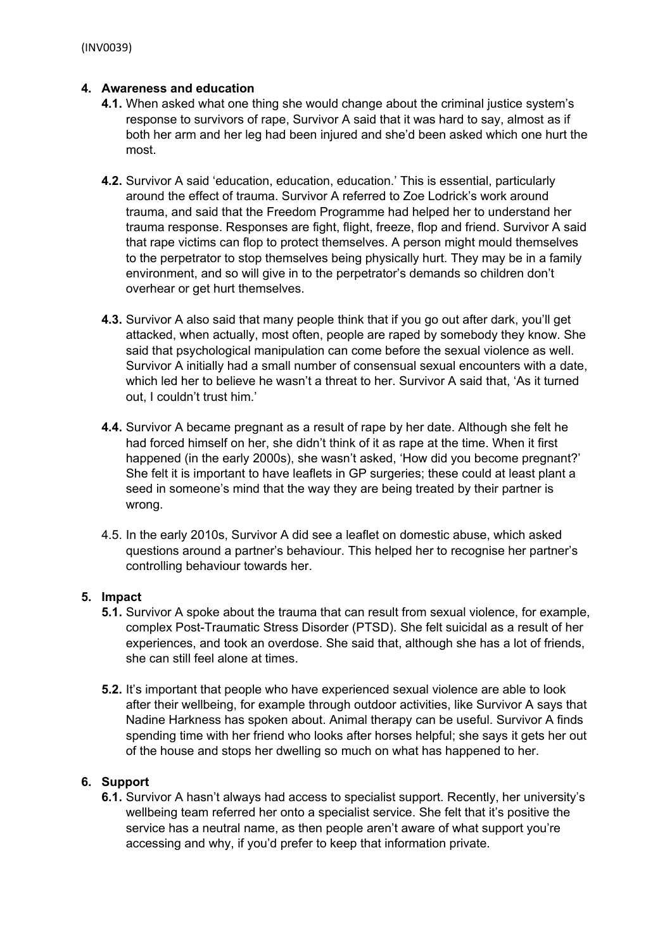### **4. Awareness and education**

- **4.1.** When asked what one thing she would change about the criminal justice system's response to survivors of rape, Survivor A said that it was hard to say, almost as if both her arm and her leg had been injured and she'd been asked which one hurt the most.
- **4.2.** Survivor A said 'education, education, education.' This is essential, particularly around the effect of trauma. Survivor A referred to Zoe Lodrick's work around trauma, and said that the Freedom Programme had helped her to understand her trauma response. Responses are fight, flight, freeze, flop and friend. Survivor A said that rape victims can flop to protect themselves. A person might mould themselves to the perpetrator to stop themselves being physically hurt. They may be in a family environment, and so will give in to the perpetrator's demands so children don't overhear or get hurt themselves.
- **4.3.** Survivor A also said that many people think that if you go out after dark, you'll get attacked, when actually, most often, people are raped by somebody they know. She said that psychological manipulation can come before the sexual violence as well. Survivor A initially had a small number of consensual sexual encounters with a date, which led her to believe he wasn't a threat to her. Survivor A said that, 'As it turned out, I couldn't trust him.'
- **4.4.** Survivor A became pregnant as a result of rape by her date. Although she felt he had forced himself on her, she didn't think of it as rape at the time. When it first happened (in the early 2000s), she wasn't asked, 'How did you become pregnant?' She felt it is important to have leaflets in GP surgeries; these could at least plant a seed in someone's mind that the way they are being treated by their partner is wrong.
- 4.5. In the early 2010s, Survivor A did see a leaflet on domestic abuse, which asked questions around a partner's behaviour. This helped her to recognise her partner's controlling behaviour towards her.

# **5. Impact**

- **5.1.** Survivor A spoke about the trauma that can result from sexual violence, for example, complex Post-Traumatic Stress Disorder (PTSD). She felt suicidal as a result of her experiences, and took an overdose. She said that, although she has a lot of friends, she can still feel alone at times.
- **5.2.** It's important that people who have experienced sexual violence are able to look after their wellbeing, for example through outdoor activities, like Survivor A says that Nadine Harkness has spoken about. Animal therapy can be useful. Survivor A finds spending time with her friend who looks after horses helpful; she says it gets her out of the house and stops her dwelling so much on what has happened to her.

# **6. Support**

**6.1.** Survivor A hasn't always had access to specialist support. Recently, her university's wellbeing team referred her onto a specialist service. She felt that it's positive the service has a neutral name, as then people aren't aware of what support you're accessing and why, if you'd prefer to keep that information private.